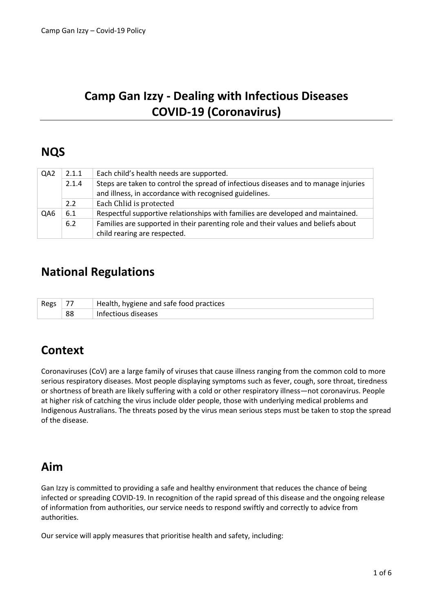# **Camp Gan Izzy - Dealing with Infectious Diseases COVID-19 (Coronavirus)**

# **NQS**

| QA <sub>2</sub> | 2.1.1 | Each child's health needs are supported.                                            |
|-----------------|-------|-------------------------------------------------------------------------------------|
|                 | 2.1.4 | Steps are taken to control the spread of infectious diseases and to manage injuries |
|                 |       | and illness, in accordance with recognised guidelines.                              |
|                 | 2.2   | Each Chlid is protected                                                             |
| QA6             | 6.1   | Respectful supportive relationships with families are developed and maintained.     |
|                 | 6.2   | Families are supported in their parenting role and their values and beliefs about   |
|                 |       | child rearing are respected.                                                        |

## **National Regulations**

| Regs |    | Health, hygiene and safe food practices |
|------|----|-----------------------------------------|
|      | 88 | Infectious diseases                     |

# **Context**

Coronaviruses (CoV) are a large family of viruses that cause illness ranging from the common cold to more serious respiratory diseases. Most people displaying symptoms such as fever, cough, sore throat, tiredness or shortness of breath are likely suffering with a cold or other respiratory illness—not coronavirus. People at higher risk of catching the virus include older people, those with underlying medical problems and Indigenous Australians. The threats posed by the virus mean serious steps must be taken to stop the spread of the disease.

## **Aim**

Gan Izzy is committed to providing a safe and healthy environment that reduces the chance of being infected or spreading COVID-19. In recognition of the rapid spread of this disease and the ongoing release of information from authorities, our service needs to respond swiftly and correctly to advice from authorities.

Our service will apply measures that prioritise health and safety, including: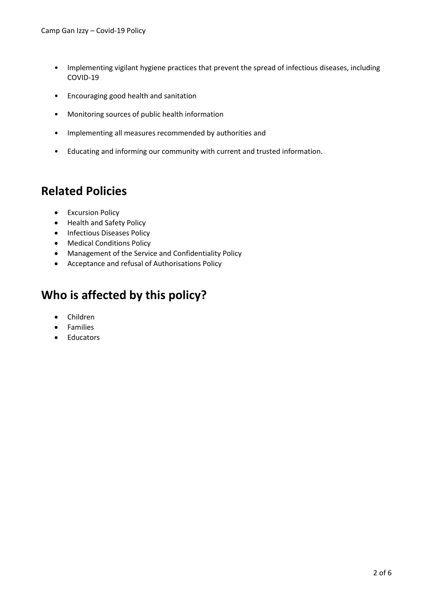- Implementing vigilant hygiene practices that prevent the spread of infectious diseases, including COVID-19
- Encouraging good health and sanitation
- Monitoring sources of public health information
- Implementing all measures recommended by authorities and
- Educating and informing our community with current and trusted information.

## **Related Policies**

- Excursion Policy
- Health and Safety Policy
- Infectious Diseases Policy
- Medical Conditions Policy
- Management of the Service and Confidentiality Policy
- Acceptance and refusal of Authorisations Policy

# **Who is affected by this policy?**

- Children
- Families
- Educators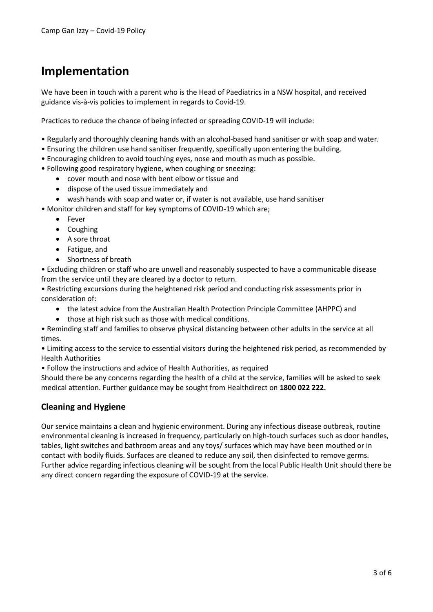# **Implementation**

We have been in touch with a parent who is the Head of Paediatrics in a NSW hospital, and received guidance vis-à-vis policies to implement in regards to Covid-19.

Practices to reduce the chance of being infected or spreading COVID-19 will include:

- Regularly and thoroughly cleaning hands with an alcohol-based hand sanitiser or with soap and water.
- Ensuring the children use hand sanitiser frequently, specifically upon entering the building.
- Encouraging children to avoid touching eyes, nose and mouth as much as possible.
- Following good respiratory hygiene, when coughing or sneezing:
	- cover mouth and nose with bent elbow or tissue and
	- dispose of the used tissue immediately and
	- wash hands with soap and water or, if water is not available, use hand sanitiser
- Monitor children and staff for key symptoms of COVID-19 which are;
	- Fever
	- Coughing
	- A sore throat
	- Fatigue, and
	- Shortness of breath

• Excluding children or staff who are unwell and reasonably suspected to have a communicable disease from the service until they are cleared by a doctor to return.

• Restricting excursions during the heightened risk period and conducting risk assessments prior in consideration of:

- the latest advice from the Australian Health Protection Principle Committee (AHPPC) and
- those at high risk such as those with medical conditions.

• Reminding staff and families to observe physical distancing between other adults in the service at all times.

• Limiting access to the service to essential visitors during the heightened risk period, as recommended by Health Authorities

• Follow the instructions and advice of Health Authorities, as required

Should there be any concerns regarding the health of a child at the service, families will be asked to seek medical attention. Further guidance may be sought from Healthdirect on **1800 022 222.**

### **Cleaning and Hygiene**

Our service maintains a clean and hygienic environment. During any infectious disease outbreak, routine environmental cleaning is increased in frequency, particularly on high-touch surfaces such as door handles, tables, light switches and bathroom areas and any toys/ surfaces which may have been mouthed or in contact with bodily fluids. Surfaces are cleaned to reduce any soil, then disinfected to remove germs. Further advice regarding infectious cleaning will be sought from the local Public Health Unit should there be any direct concern regarding the exposure of COVID-19 at the service.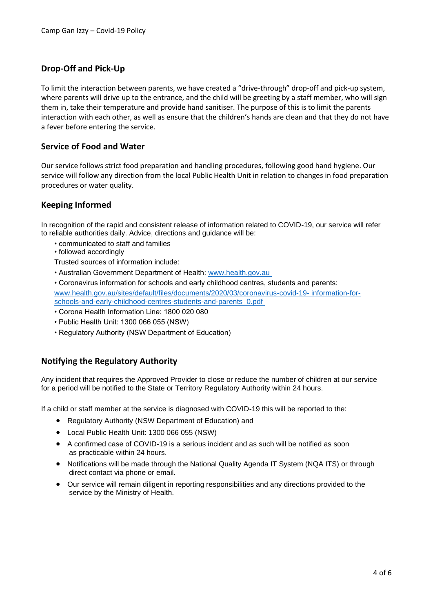### **Drop-Off and Pick-Up**

To limit the interaction between parents, we have created a "drive-through" drop-off and pick-up system, where parents will drive up to the entrance, and the child will be greeting by a staff member, who will sign them in, take their temperature and provide hand sanitiser. The purpose of this is to limit the parents interaction with each other, as well as ensure that the children's hands are clean and that they do not have a fever before entering the service.

### **Service of Food and Water**

Our service follows strict food preparation and handling procedures, following good hand hygiene. Our service will follow any direction from the local Public Health Unit in relation to changes in food preparation procedures or water quality.

### **Keeping Informed**

In recognition of the rapid and consistent release of information related to COVID-19, our service will refer to reliable authorities daily. Advice, directions and guidance will be:

- communicated to staff and families
- followed accordingly

Trusted sources of information include:

- Australian Government Department of Health: [www.health.gov.au](www.health.gov.au )
- Coronavirus information for schools and early childhood centres, students and parents: [www.health.gov.au/sites/default/files/documents/2020/03/coronavirus-covid-19-](www.health.gov.au/sites/default/files/documents/2020/03/coronavirus-covid-19-%20information-for-%20schools-and-early-childhood-centres-students-and-parents_0.pdf ) information-for[schools-and-early-childhood-centres-students-and-parents\\_0.pdf](www.health.gov.au/sites/default/files/documents/2020/03/coronavirus-covid-19-%20information-for-%20schools-and-early-childhood-centres-students-and-parents_0.pdf )
- Corona Health Information Line: 1800 020 080
- Public Health Unit: 1300 066 055 (NSW)
- Regulatory Authority (NSW Department of Education)

### **Notifying the Regulatory Authority**

Any incident that requires the Approved Provider to close or reduce the number of children at our service for a period will be notified to the State or Territory Regulatory Authority within 24 hours.

If a child or staff member at the service is diagnosed with COVID-19 this will be reported to the:

- Regulatory Authority (NSW Department of Education) and
- Local Public Health Unit: 1300 066 055 (NSW)
- A confirmed case of COVID-19 is a serious incident and as such will be notified as soon as practicable within 24 hours.
- Notifications will be made through the National Quality Agenda IT System (NQA ITS) or through direct contact via phone or email.
- Our service will remain diligent in reporting responsibilities and any directions provided to the service by the Ministry of Health.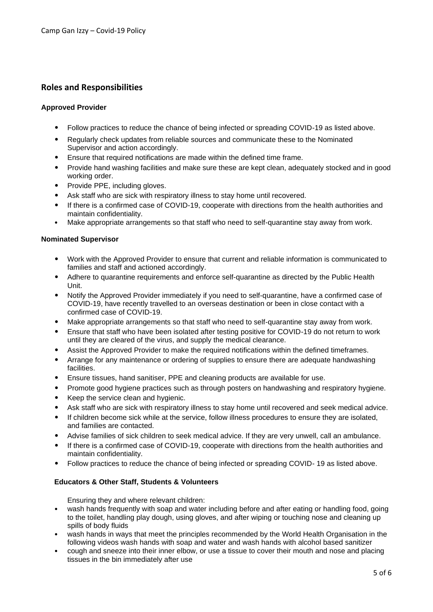### **Roles and Responsibilities**

#### **Approved Provider**

- Follow practices to reduce the chance of being infected or spreading COVID-19 as listed above.
- Regularly check updates from reliable sources and communicate these to the Nominated Supervisor and action accordingly.
- Ensure that required notifications are made within the defined time frame.
- Provide hand washing facilities and make sure these are kept clean, adequately stocked and in good working order.
- Provide PPE, including gloves.
- Ask staff who are sick with respiratory illness to stay home until recovered.
- If there is a confirmed case of COVID-19, cooperate with directions from the health authorities and maintain confidentiality.
- Make appropriate arrangements so that staff who need to self-quarantine stay away from work.

#### **Nominated Supervisor**

- Work with the Approved Provider to ensure that current and reliable information is communicated to families and staff and actioned accordingly.
- Adhere to quarantine requirements and enforce self-quarantine as directed by the Public Health Unit.
- Notify the Approved Provider immediately if you need to self-quarantine, have a confirmed case of COVID-19, have recently travelled to an overseas destination or been in close contact with a confirmed case of COVID-19.
- Make appropriate arrangements so that staff who need to self-quarantine stay away from work.
- Ensure that staff who have been isolated after testing positive for COVID-19 do not return to work until they are cleared of the virus, and supply the medical clearance.
- Assist the Approved Provider to make the required notifications within the defined timeframes.
- Arrange for any maintenance or ordering of supplies to ensure there are adequate handwashing facilities.
- Ensure tissues, hand sanitiser, PPE and cleaning products are available for use.
- Promote good hygiene practices such as through posters on handwashing and respiratory hygiene.
- Keep the service clean and hygienic.
- Ask staff who are sick with respiratory illness to stay home until recovered and seek medical advice.
- If children become sick while at the service, follow illness procedures to ensure they are isolated, and families are contacted.
- Advise families of sick children to seek medical advice. If they are very unwell, call an ambulance.
- If there is a confirmed case of COVID-19, cooperate with directions from the health authorities and maintain confidentiality.
- Follow practices to reduce the chance of being infected or spreading COVID- 19 as listed above.

#### **Educators & Other Staff, Students & Volunteers**

Ensuring they and where relevant children:

- wash hands frequently with soap and water including before and after eating or handling food, going to the toilet, handling play dough, using gloves, and after wiping or touching nose and cleaning up spills of body fluids
- wash hands in ways that meet the principles recommended by the World Health Organisation in the following videos wash hands with soap and water and wash hands with alcohol based sanitizer
- cough and sneeze into their inner elbow, or use a tissue to cover their mouth and nose and placing tissues in the bin immediately after use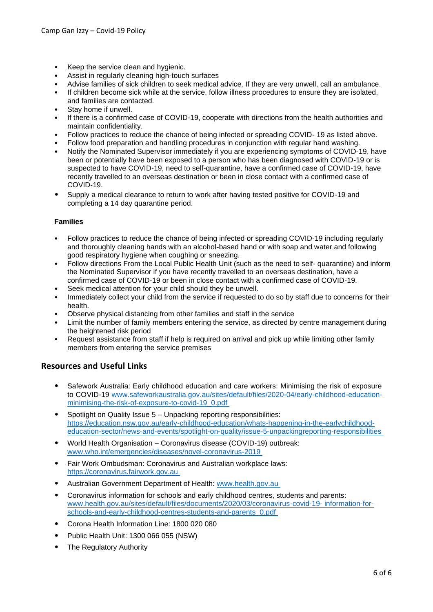- Keep the service clean and hygienic.
- Assist in regularly cleaning high-touch surfaces
- Advise families of sick children to seek medical advice. If they are very unwell, call an ambulance.
- If children become sick while at the service, follow illness procedures to ensure they are isolated,
- and families are contacted.
- Stay home if unwell.
- If there is a confirmed case of COVID-19, cooperate with directions from the health authorities and maintain confidentiality.
- Follow practices to reduce the chance of being infected or spreading COVID- 19 as listed above.
- Follow food preparation and handling procedures in conjunction with regular hand washing.
- Notify the Nominated Supervisor immediately if you are experiencing symptoms of COVID-19, have been or potentially have been exposed to a person who has been diagnosed with COVID-19 or is suspected to have COVID-19, need to self-quarantine, have a confirmed case of COVID-19, have recently travelled to an overseas destination or been in close contact with a confirmed case of COVID-19.
- Supply a medical clearance to return to work after having tested positive for COVID-19 and completing a 14 day quarantine period.

#### **Families**

- Follow practices to reduce the chance of being infected or spreading COVID-19 including regularly and thoroughly cleaning hands with an alcohol-based hand or with soap and water and following good respiratory hygiene when coughing or sneezing.
- Follow directions From the Local Public Health Unit (such as the need to self- quarantine) and inform the Nominated Supervisor if you have recently travelled to an overseas destination, have a confirmed case of COVID-19 or been in close contact with a confirmed case of COVID-19.
- Seek medical attention for your child should they be unwell.
- Immediately collect your child from the service if requested to do so by staff due to concerns for their health.
- Observe physical distancing from other families and staff in the service
- Limit the number of family members entering the service, as directed by centre management during the heightened risk period
- Request assistance from staff if help is required on arrival and pick up while limiting other family members from entering the service premises

#### **Resources and Useful Links**

- Safework Australia: Early childhood education and care workers: Minimising the risk of exposure to COVID-19 [www.safeworkaustralia.gov.au/sites/default/files/2020-04/early-childhood-education](www.safeworkaustralia.gov.au/sites/default/files/2020-04/early-childhood-education-%20minimising-the-risk-of-exposure-to-covid-19_0.pdf )[minimising-the-risk-of-exposure-to-covid-19\\_0.pdf](www.safeworkaustralia.gov.au/sites/default/files/2020-04/early-childhood-education-%20minimising-the-risk-of-exposure-to-covid-19_0.pdf )
- Spotlight on Quality Issue 5 Unpacking reporting responsibilities: [https://education.nsw.gov.au/early-childhood-education/whats-happening-in-the-earlychildhood](https://education.nsw.gov.au/early-childhood-education/whats-happening-in-the-earlychildhood-%20education-sector/news-and-events/spotlight-on-quality/issue-5-unpackingreporting-responsibilities )[education-sector/news-and-events/spotlight-on-quality/issue-5-unpackingreporting-responsibilities](https://education.nsw.gov.au/early-childhood-education/whats-happening-in-the-earlychildhood-%20education-sector/news-and-events/spotlight-on-quality/issue-5-unpackingreporting-responsibilities )
- World Health Organisation Coronavirus disease (COVID-19) outbreak: [www.who.int/emergencies/diseases/novel-coronavirus-2019](www.who.int/emergencies/diseases/novel-coronavirus-2019 )
- Fair Work Ombudsman: Coronavirus and Australian workplace laws: [https://coronavirus.fairwork.gov.au](https://coronavirus.fairwork.gov.au )
- Australian Government Department of Health: [www.health.gov.au](www.health.gov.au )
- Coronavirus information for schools and early childhood centres, students and parents: [www.health.gov.au/sites/default/files/documents/2020/03/coronavirus-covid-19-](www.health.gov.au/sites/default/files/documents/2020/03/coronavirus-covid-19-%20information-for-%20schools-and-early-childhood-centres-students-and-parents_0.pdf ) information-for[schools-and-early-childhood-centres-students-and-parents\\_0.pdf](www.health.gov.au/sites/default/files/documents/2020/03/coronavirus-covid-19-%20information-for-%20schools-and-early-childhood-centres-students-and-parents_0.pdf )
- Corona Health Information Line: 1800 020 080
- Public Health Unit: 1300 066 055 (NSW)
- The Regulatory Authority